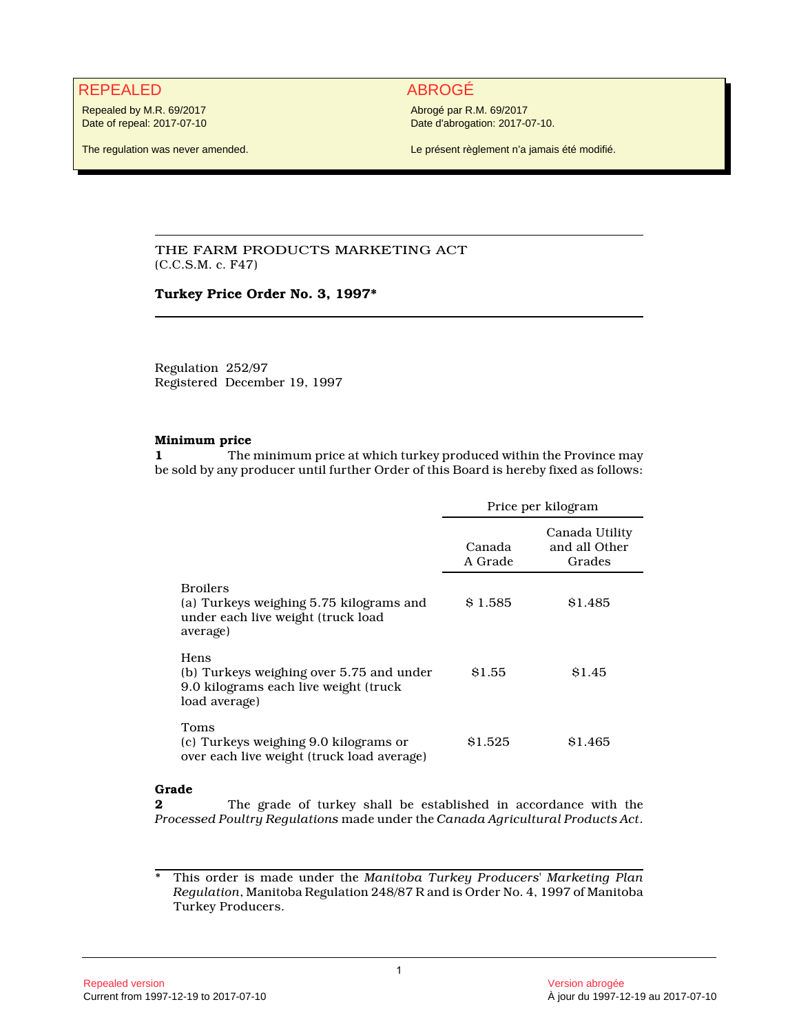# REPEALED ABROGÉ

Repealed by M.R. 69/2017 Date of repeal: 2017-07-10

The regulation was never amended.

Abrogé par R.M. 69/2017 Date d'abrogation: 2017-07-10.

Le présent règlement n'a jamais été modifié.

# THE FARM PRODUCTS MARKETING ACT (C.C.S.M. c. F47)

## **Turkey Price Order No. 3, 1997\***

Regulation 252/97 Registered December 19, 1997

#### **Minimum price**

**1** The minimum price at which turkey produced within the Province may be sold by any producer until further Order of this Board is hereby fixed as follows:

|                                                                                                              | Price per kilogram |                                           |
|--------------------------------------------------------------------------------------------------------------|--------------------|-------------------------------------------|
|                                                                                                              | Canada<br>A Grade  | Canada Utility<br>and all Other<br>Grades |
| <b>Broilers</b><br>(a) Turkeys weighing 5.75 kilograms and<br>under each live weight (truck load<br>average) | \$1.585            | S <sub>1.485</sub>                        |
| Hens<br>(b) Turkeys weighing over 5.75 and under<br>9.0 kilograms each live weight (truck<br>load average)   | \$1.55             | \$1.45                                    |
| Toms<br>(c) Turkeys weighing 9.0 kilograms or<br>over each live weight (truck load average)                  | \$1.525            | \$1.465                                   |

# **Grade**

**2** The grade of turkey shall be established in accordance with the *Processed Poultry Regulations* made under the *Canada Agricultural Products Act*.

\* This order is made under the *Manitoba Turkey Producers' Marketing Plan Regulation*, Manitoba Regulation 248/87 R and is Order No. 4, 1997 of Manitoba Turkey Producers.